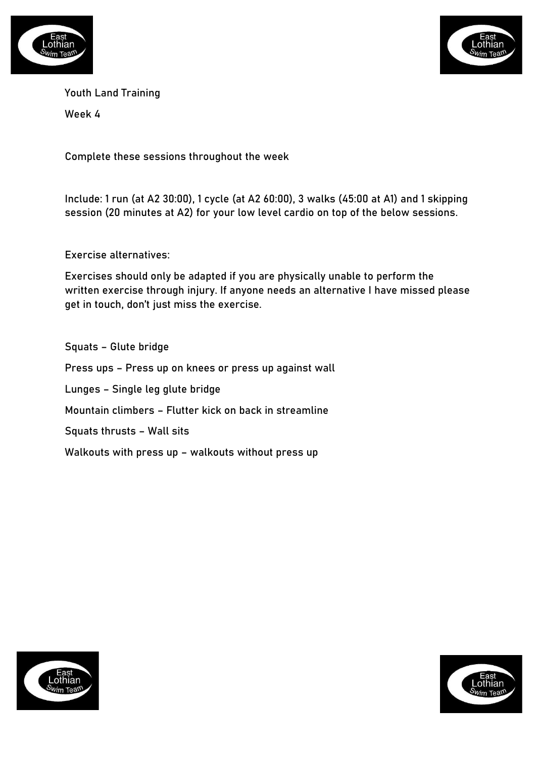



Youth Land Training

Week 4

Complete these sessions throughout the week

Include: 1 run (at A2 30:00), 1 cycle (at A2 60:00), 3 walks (45:00 at A1) and 1 skipping session (20 minutes at A2) for your low level cardio on top of the below sessions.

Exercise alternatives:

Exercises should only be adapted if you are physically unable to perform the written exercise through injury. If anyone needs an alternative I have missed please get in touch, don't just miss the exercise.

Squats – Glute bridge Press ups – Press up on knees or press up against wall Lunges – Single leg glute bridge Mountain climbers – Flutter kick on back in streamline Squats thrusts – Wall sits Walkouts with press up – walkouts without press up



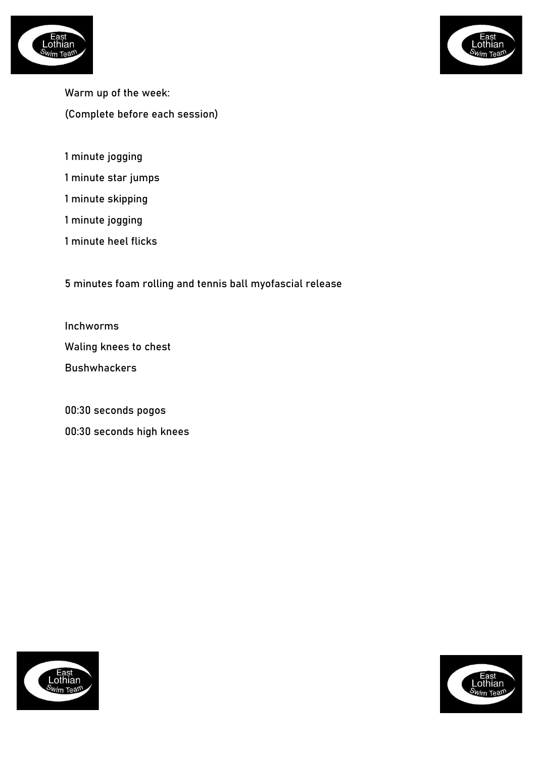



Warm up of the week: (Complete before each session)

- 1 minute jogging
- 1 minute star jumps
- 1 minute skipping
- 1 minute jogging
- 1 minute heel flicks

5 minutes foam rolling and tennis ball myofascial release

Inchworms

Waling knees to chest

Bushwhackers

00:30 seconds pogos

00:30 seconds high knees



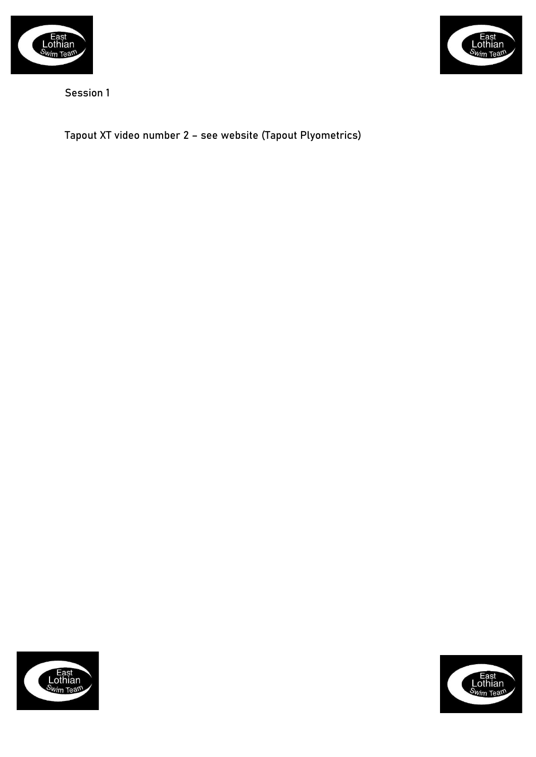



Tapout XT video number 2 – see website (Tapout Plyometrics)



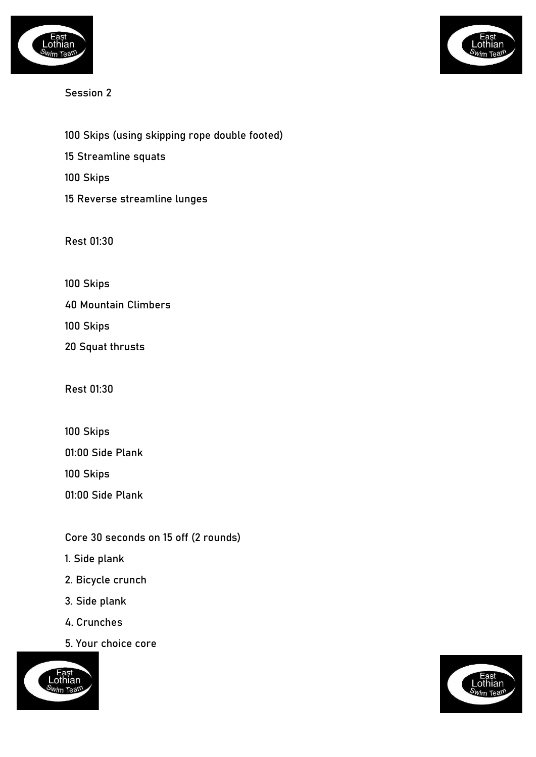

100 Skips (using skipping rope double footed) 15 Streamline squats 100 Skips 15 Reverse streamline lunges

Rest 01:30

100 Skips

40 Mountain Climbers

100 Skips

20 Squat thrusts

Rest 01:30

100 Skips 01:00 Side Plank 100 Skips 01:00 Side Plank

## Core 30 seconds on 15 off (2 rounds)

- 1. Side plank
- 2. Bicycle crunch
- 3. Side plank
- 4. Crunches
- 5. Your choice core



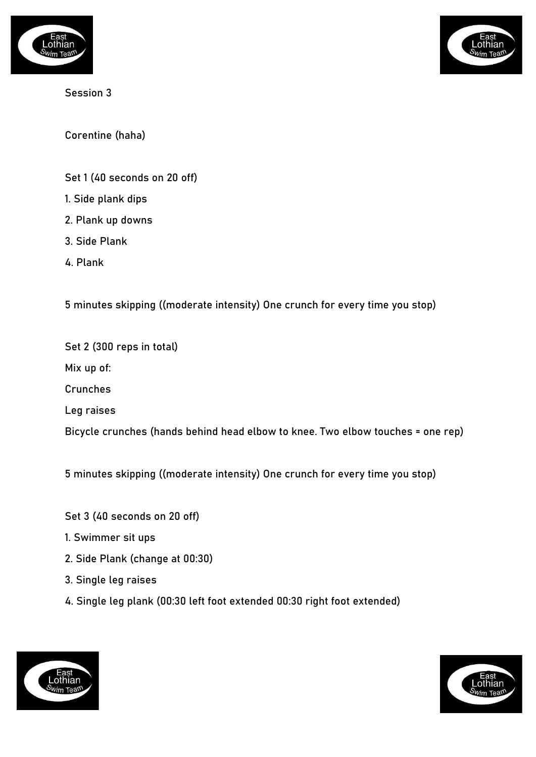



Corentine (haha)

- Set 1 (40 seconds on 20 off)
- 1. Side plank dips
- 2. Plank up downs
- 3. Side Plank
- 4. Plank

5 minutes skipping ((moderate intensity) One crunch for every time you stop)

Set 2 (300 reps in total) Mix up of: Crunches Leg raises Bicycle crunches (hands behind head elbow to knee. Two elbow touches = one rep)

5 minutes skipping ((moderate intensity) One crunch for every time you stop)

- Set 3 (40 seconds on 20 off)
- 1. Swimmer sit ups
- 2. Side Plank (change at 00:30)
- 3. Single leg raises
- 4. Single leg plank (00:30 left foot extended 00:30 right foot extended)



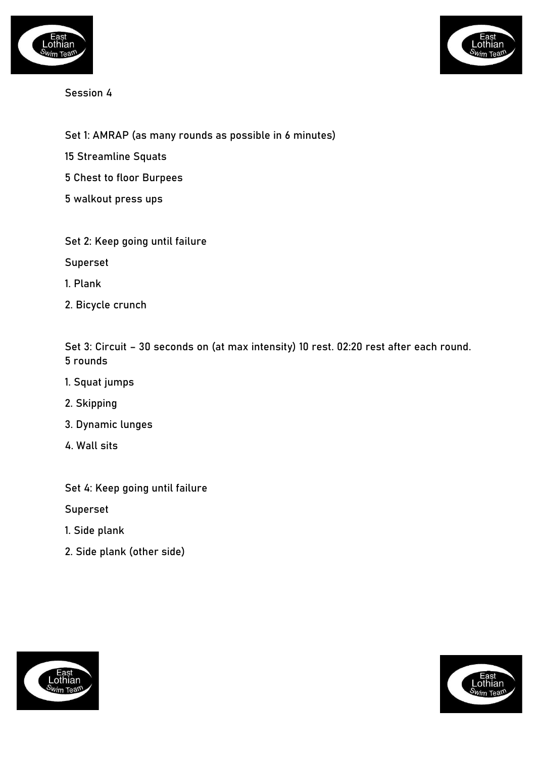



- Set 1: AMRAP (as many rounds as possible in 6 minutes)
- 15 Streamline Squats
- 5 Chest to floor Burpees
- 5 walkout press ups
- Set 2: Keep going until failure
- Superset
- 1. Plank
- 2. Bicycle crunch

Set 3: Circuit – 30 seconds on (at max intensity) 10 rest. 02:20 rest after each round. 5 rounds

- 1. Squat jumps
- 2. Skipping
- 3. Dynamic lunges
- 4. Wall sits

Set 4: Keep going until failure

Superset

- 1. Side plank
- 2. Side plank (other side)



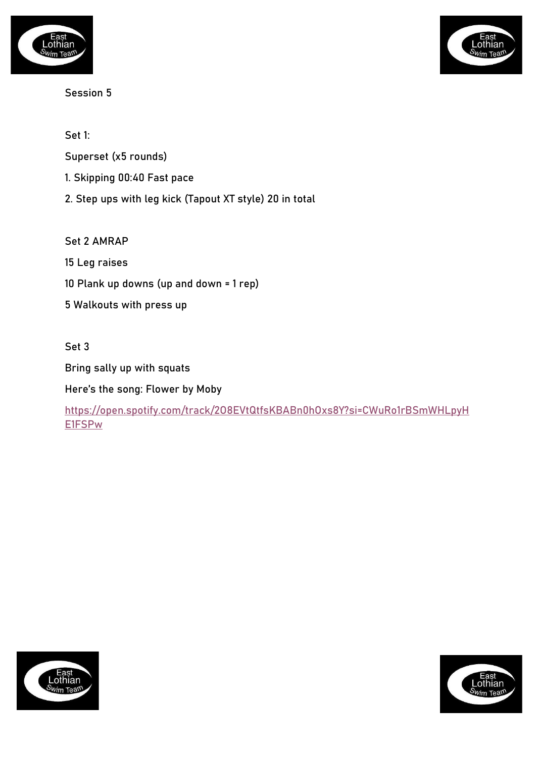



Set 1:

Superset (x5 rounds)

- 1. Skipping 00:40 Fast pace
- 2. Step ups with leg kick (Tapout XT style) 20 in total

Set 2 AMRAP

15 Leg raises

10 Plank up downs (up and down = 1 rep)

5 Walkouts with press up

Set 3

Bring sally up with squats

Here's the song: Flower by Moby

[https://open.spotify.com/track/2O8EVtQtfsKBABn0hOxs8Y?si=CWuRo1rBSmWHLpyH](https://open.spotify.com/track/2O8EVtQtfsKBABn0hOxs8Y?si=CWuRo1rBSmWHLpyHE1FSPw) [E1FSPw](https://open.spotify.com/track/2O8EVtQtfsKBABn0hOxs8Y?si=CWuRo1rBSmWHLpyHE1FSPw)